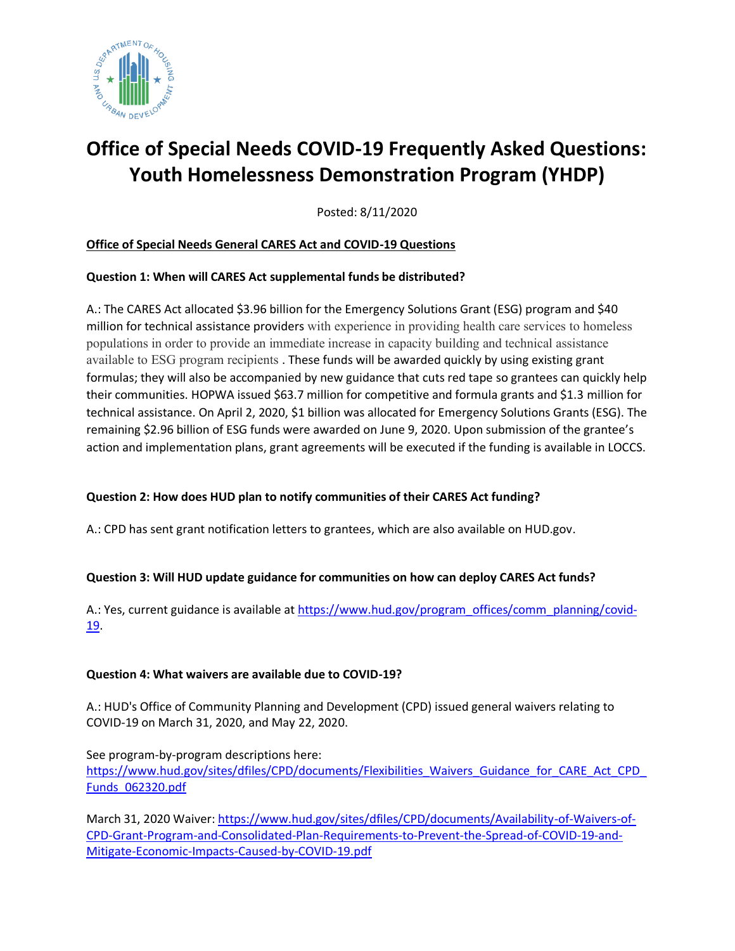

# **Office of Special Needs COVID-19 Frequently Asked Questions: Youth Homelessness Demonstration Program (YHDP)**

Posted: 8/11/2020

## **Office of Special Needs General CARES Act and COVID-19 Questions**

## **Question 1: When will CARES Act supplemental funds be distributed?**

A.: The CARES Act allocated \$3.96 billion for the Emergency Solutions Grant (ESG) program and \$40 million for technical assistance providers with experience in providing health care services to homeless populations in order to provide an immediate increase in capacity building and technical assistance available to ESG program recipients . These funds will be awarded quickly by using existing grant formulas; they will also be accompanied by new guidance that cuts red tape so grantees can quickly help their communities. HOPWA issued \$63.7 million for competitive and formula grants and \$1.3 million for technical assistance. On April 2, 2020, \$1 billion was allocated for Emergency Solutions Grants (ESG). The remaining \$2.96 billion of ESG funds were awarded on June 9, 2020. Upon submission of the grantee's action and implementation plans, grant agreements will be executed if the funding is available in LOCCS.

## **Question 2: How does HUD plan to notify communities of their CARES Act funding?**

A.: CPD has sent grant notification letters to grantees, which are also available on HUD.gov.

## **Question 3: Will HUD update guidance for communities on how can deploy CARES Act funds?**

A.: Yes, current guidance is available at [https://www.hud.gov/program\\_offices/comm\\_planning/covid-](https://www.hud.gov/program_offices/comm_planning/covid-19)[19.](https://www.hud.gov/program_offices/comm_planning/covid-19)

#### **Question 4: What waivers are available due to COVID-19?**

A.: HUD's Office of Community Planning and Development (CPD) issued general waivers relating to COVID-19 on March 31, 2020, and May 22, 2020.

See program-by-program descriptions here: [https://www.hud.gov/sites/dfiles/CPD/documents/Flexibilities\\_Waivers\\_Guidance\\_for\\_CARE\\_Act\\_CPD\\_](https://www.hud.gov/sites/dfiles/CPD/documents/Flexibilities_Waivers_Guidance_for_CARE_Act_CPD_Funds_062320.pdf?utm_source=NLIHC+All+Subscribers&utm_campaign=3fe358277a-Memo_062920&utm_medium=email&utm_term=0_e090383b5e-3fe358277a-291751253&ct=t(Memo_062920)) [Funds\\_062320.pdf](https://www.hud.gov/sites/dfiles/CPD/documents/Flexibilities_Waivers_Guidance_for_CARE_Act_CPD_Funds_062320.pdf?utm_source=NLIHC+All+Subscribers&utm_campaign=3fe358277a-Memo_062920&utm_medium=email&utm_term=0_e090383b5e-3fe358277a-291751253&ct=t(Memo_062920))

March 31, 2020 Waiver: [https://www.hud.gov/sites/dfiles/CPD/documents/Availability-of-Waivers-of-](https://www.hud.gov/sites/dfiles/CPD/documents/Availability-of-Waivers-of-CPD-Grant-Program-and-Consolidated-Plan-Requirements-to-Prevent-the-Spread-of-COVID-19-and-Mitigate-Economic-Impacts-Caused-by-COVID-19.pdf)[CPD-Grant-Program-and-Consolidated-Plan-Requirements-to-Prevent-the-Spread-of-COVID-19-and-](https://www.hud.gov/sites/dfiles/CPD/documents/Availability-of-Waivers-of-CPD-Grant-Program-and-Consolidated-Plan-Requirements-to-Prevent-the-Spread-of-COVID-19-and-Mitigate-Economic-Impacts-Caused-by-COVID-19.pdf)[Mitigate-Economic-Impacts-Caused-by-COVID-19.pdf](https://www.hud.gov/sites/dfiles/CPD/documents/Availability-of-Waivers-of-CPD-Grant-Program-and-Consolidated-Plan-Requirements-to-Prevent-the-Spread-of-COVID-19-and-Mitigate-Economic-Impacts-Caused-by-COVID-19.pdf)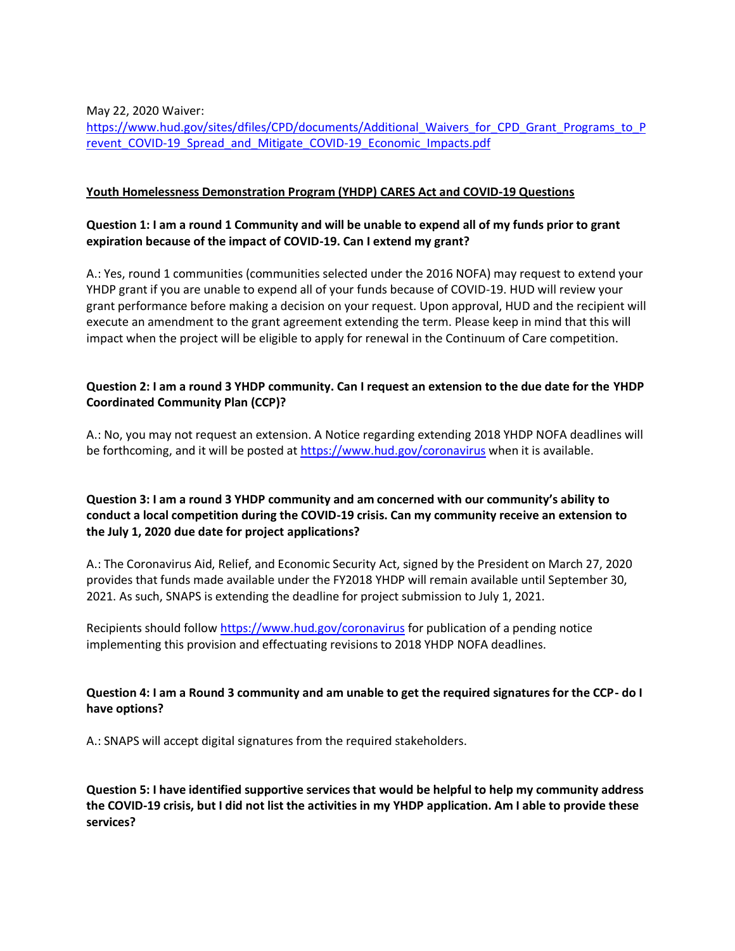May 22, 2020 Waiver:

[https://www.hud.gov/sites/dfiles/CPD/documents/Additional\\_Waivers\\_for\\_CPD\\_Grant\\_Programs\\_to\\_P](https://www.hud.gov/sites/dfiles/CPD/documents/Additional_Waivers_for_CPD_Grant_Programs_to_Prevent_COVID-19_Spread_and_Mitigate_COVID-19_Economic_Impacts.pdf?utm_source=NLIHC+All+Subscribers&utm_campaign=cfb07f4b95-Memo_060120&utm_medium=email&utm_term=0_e090383b5e-cfb07f4b95-293283889&ct=t%28Memo_060120%29) revent COVID-19 Spread and Mitigate COVID-19 Economic Impacts.pdf

#### **Youth Homelessness Demonstration Program (YHDP) CARES Act and COVID-19 Questions**

## **Question 1: I am a round 1 Community and will be unable to expend all of my funds prior to grant expiration because of the impact of COVID-19. Can I extend my grant?**

A.: Yes, round 1 communities (communities selected under the 2016 NOFA) may request to extend your YHDP grant if you are unable to expend all of your funds because of COVID-19. HUD will review your grant performance before making a decision on your request. Upon approval, HUD and the recipient will execute an amendment to the grant agreement extending the term. Please keep in mind that this will impact when the project will be eligible to apply for renewal in the Continuum of Care competition.

#### **Question 2: I am a round 3 YHDP community. Can I request an extension to the due date for the YHDP Coordinated Community Plan (CCP)?**

A.: No, you may not request an extension. A Notice regarding extending 2018 YHDP NOFA deadlines will be forthcoming, and it will be posted at<https://www.hud.gov/coronavirus> when it is available.

## **Question 3: I am a round 3 YHDP community and am concerned with our community's ability to conduct a local competition during the COVID-19 crisis. Can my community receive an extension to the July 1, 2020 due date for project applications?**

A.: The Coronavirus Aid, Relief, and Economic Security Act, signed by the President on March 27, 2020 provides that funds made available under the FY2018 YHDP will remain available until September 30, 2021. As such, SNAPS is extending the deadline for project submission to July 1, 2021.

Recipients should follo[w https://www.hud.gov/coronavirus](https://www.hud.gov/coronavirus) for publication of a pending notice implementing this provision and effectuating revisions to 2018 YHDP NOFA deadlines.

#### **Question 4: I am a Round 3 community and am unable to get the required signatures for the CCP- do I have options?**

A.: SNAPS will accept digital signatures from the required stakeholders.

**Question 5: I have identified supportive services that would be helpful to help my community address the COVID-19 crisis, but I did not list the activities in my YHDP application. Am I able to provide these services?**